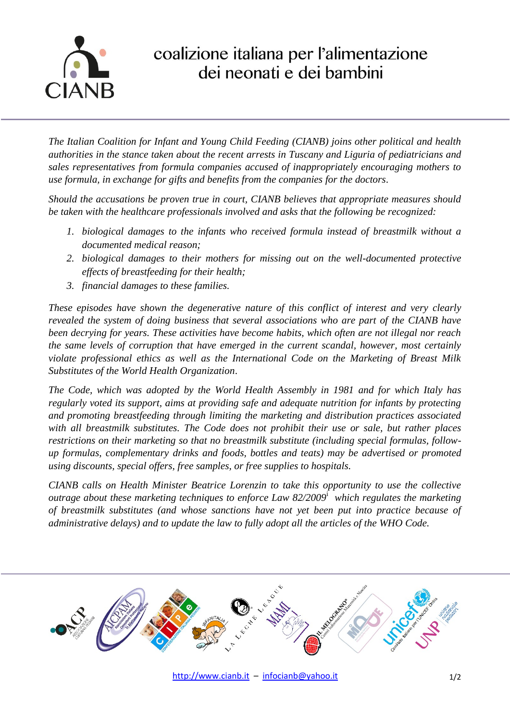

## coalizione italiana per l'alimentazione dei neonati e dei bambini

*The Italian Coalition for Infant and Young Child Feeding (CIANB) joins other political and health authorities in the stance taken about the recent arrests in Tuscany and Liguria of pediatricians and sales representatives from formula companies accused of inappropriately encouraging mothers to use formula, in exchange for gifts and benefits from the companies for the doctors*.

*Should the accusations be proven true in court, CIANB believes that appropriate measures should be taken with the healthcare professionals involved and asks that the following be recognized:*

- *1. biological damages to the infants who received formula instead of breastmilk without a documented medical reason;*
- *2. biological damages to their mothers for missing out on the well-documented protective effects of breastfeeding for their health;*
- *3. financial damages to these families.*

*These episodes have shown the degenerative nature of this conflict of interest and very clearly revealed the system of doing business that several associations who are part of the CIANB have been decrying for years. These activities have become habits, which often are not illegal nor reach the same levels of corruption that have emerged in the current scandal, however, most certainly violate professional ethics as well as the International Code on the Marketing of Breast Milk Substitutes of the World Health Organization*.

*The Code, which was adopted by the World Health Assembly in 1981 and for which Italy has regularly voted its support, aims at providing safe and adequate nutrition for infants by protecting and promoting breastfeeding through limiting the marketing and distribution practices associated with all breastmilk substitutes. The Code does not prohibit their use or sale, but rather places restrictions on their marketing so that no breastmilk substitute (including special formulas, followup formulas, complementary drinks and foods, bottles and teats) may be advertised or promoted using discounts, special offers, free samples, or free supplies to hospitals.*

*CIANB calls on Health Minister Beatrice Lorenzin to take this opportunity to use the collective outrage about these marketing techniques to enforce Law 82/2009*<sup>i</sup> *which regulates the marketing of breastmilk substitutes (and whose sanctions have not yet been put into practice because of administrative delays) and to update the law to fully adopt all the articles of the WHO Code.*